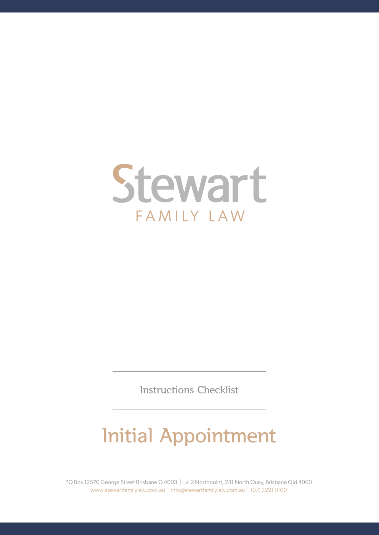

Instructions Checklist

# Initial Appointment

PO Box 12570 George Street Brisbane Q 4003 | Lvl 2 Northpoint, 231 North Quay, Brisbane Qld 4000 www.stewartfamilylaw.com.au | info@stewartfamilylaw.com.au | (07) 3221 0100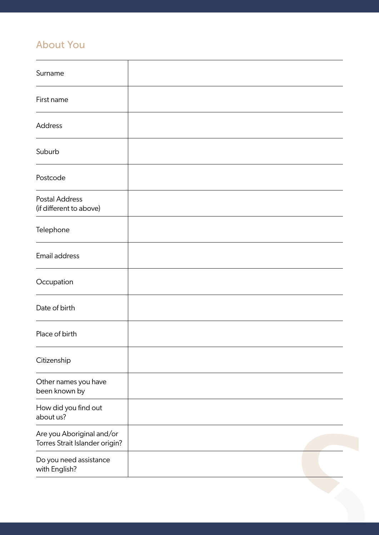#### About You

| Surname                                                     |  |
|-------------------------------------------------------------|--|
| First name                                                  |  |
| Address                                                     |  |
| Suburb                                                      |  |
| Postcode                                                    |  |
| <b>Postal Address</b><br>(if different to above)            |  |
| Telephone                                                   |  |
| Email address                                               |  |
| Occupation                                                  |  |
| Date of birth                                               |  |
| Place of birth                                              |  |
| Citizenship                                                 |  |
| Other names you have<br>been known by                       |  |
| How did you find out<br>about us?                           |  |
| Are you Aboriginal and/or<br>Torres Strait Islander origin? |  |
| Do you need assistance<br>with English?                     |  |
|                                                             |  |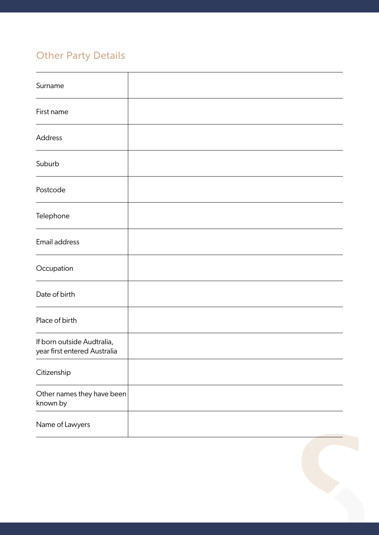## Other Party Details

| Surname                                                    |  |
|------------------------------------------------------------|--|
| First name                                                 |  |
| Address                                                    |  |
| Suburb                                                     |  |
| Postcode                                                   |  |
| Telephone                                                  |  |
| Email address                                              |  |
| Occupation                                                 |  |
| Date of birth                                              |  |
| Place of birth                                             |  |
| If born outside Audtralia,<br>year first entered Australia |  |
| Citizenship                                                |  |
| Other names they have been<br>known by                     |  |
| Name of Lawyers                                            |  |

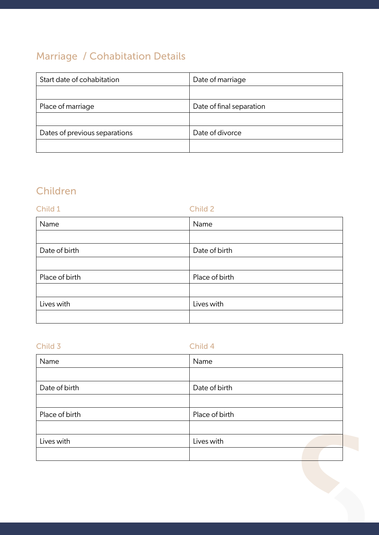### Marriage / Cohabitation Details

| Start date of cohabitation    | Date of marriage         |  |
|-------------------------------|--------------------------|--|
|                               |                          |  |
| Place of marriage             | Date of final separation |  |
|                               |                          |  |
| Dates of previous separations | Date of divorce          |  |
|                               |                          |  |

#### Children

| Child 1        | Child 2        |
|----------------|----------------|
| Name           | Name           |
|                |                |
| Date of birth  | Date of birth  |
|                |                |
| Place of birth | Place of birth |
|                |                |
| Lives with     | Lives with     |
|                |                |

| Child 4        |
|----------------|
| Name           |
|                |
| Date of birth  |
|                |
| Place of birth |
|                |
| Lives with     |
|                |
|                |
|                |